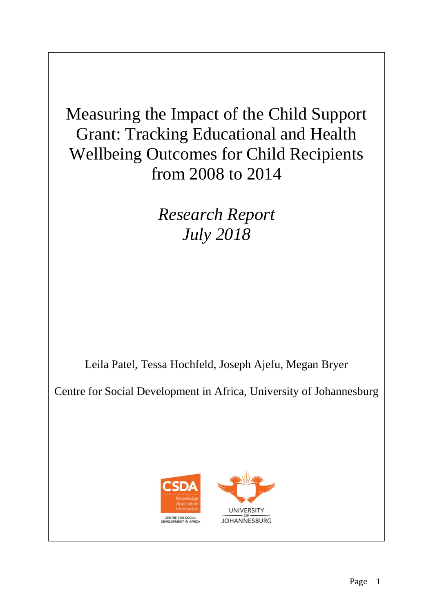Measuring the Impact of the Child Support Grant: Tracking Educational and Health Wellbeing Outcomes for Child Recipients from 2008 to 2014

> *Research Report July 2018*

Leila Patel, Tessa Hochfeld, Joseph Ajefu, Megan Bryer

Centre for Social Development in Africa, University of Johannesburg

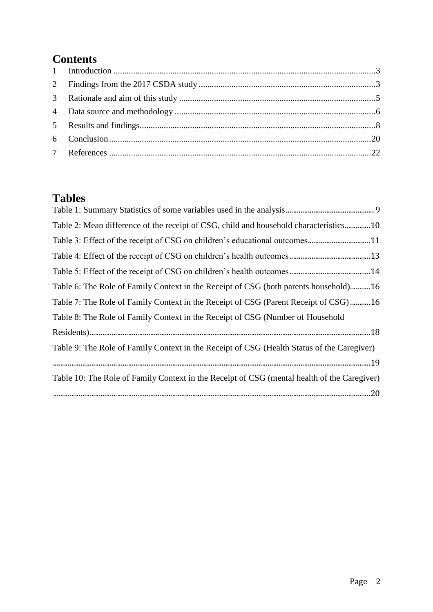# **Contents**

# **Tables**

| Table 2: Mean difference of the receipt of CSG, child and household characteristics10       |
|---------------------------------------------------------------------------------------------|
|                                                                                             |
|                                                                                             |
|                                                                                             |
| Table 6: The Role of Family Context in the Receipt of CSG (both parents household)16        |
| Table 7: The Role of Family Context in the Receipt of CSG (Parent Receipt of CSG)16         |
| Table 8: The Role of Family Context in the Receipt of CSG (Number of Household              |
|                                                                                             |
| Table 9: The Role of Family Context in the Receipt of CSG (Health Status of the Caregiver)  |
|                                                                                             |
| Table 10: The Role of Family Context in the Receipt of CSG (mental health of the Caregiver) |
|                                                                                             |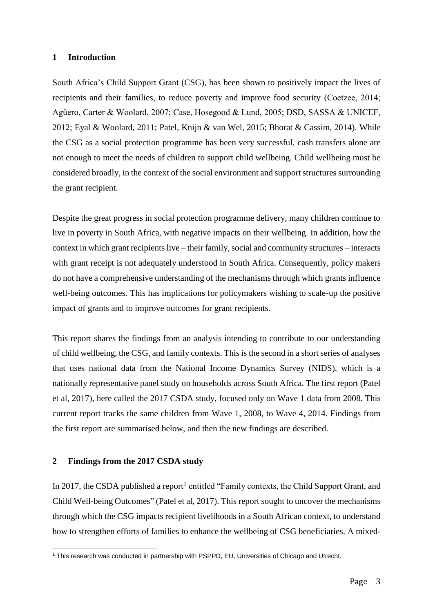## <span id="page-2-0"></span>**1 Introduction**

South Africa's Child Support Grant (CSG), has been shown to positively impact the lives of recipients and their families, to reduce poverty and improve food security (Coetzee, 2014; Agüero, Carter & Woolard, 2007; Case, Hosegood & Lund, 2005; DSD, SASSA & UNICEF, 2012; Eyal & Woolard, 2011; Patel, Knijn & van Wel, 2015; Bhorat & Cassim, 2014). While the CSG as a social protection programme has been very successful, cash transfers alone are not enough to meet the needs of children to support child wellbeing. Child wellbeing must be considered broadly, in the context of the social environment and support structures surrounding the grant recipient.

Despite the great progress in social protection programme delivery, many children continue to live in poverty in South Africa, with negative impacts on their wellbeing. In addition, how the context in which grant recipients live – their family, social and community structures – interacts with grant receipt is not adequately understood in South Africa. Consequently, policy makers do not have a comprehensive understanding of the mechanisms through which grants influence well-being outcomes. This has implications for policymakers wishing to scale-up the positive impact of grants and to improve outcomes for grant recipients.

This report shares the findings from an analysis intending to contribute to our understanding of child wellbeing, the CSG, and family contexts. This is the second in a short series of analyses that uses national data from the National Income Dynamics Survey (NIDS), which is a nationally representative panel study on households across South Africa. The first report (Patel et al, 2017), here called the 2017 CSDA study, focused only on Wave 1 data from 2008. This current report tracks the same children from Wave 1, 2008, to Wave 4, 2014. Findings from the first report are summarised below, and then the new findings are described.

## <span id="page-2-1"></span>**2 Findings from the 2017 CSDA study**

In 2017, the CSDA published a report<sup>1</sup> entitled "Family contexts, the Child Support Grant, and Child Well-being Outcomes" (Patel et al, 2017). This report sought to uncover the mechanisms through which the CSG impacts recipient livelihoods in a South African context, to understand how to strengthen efforts of families to enhance the wellbeing of CSG beneficiaries. A mixed-

 $\overline{a}$ <sup>1</sup> This research was conducted in partnership with PSPPD, EU, Universities of Chicago and Utrecht.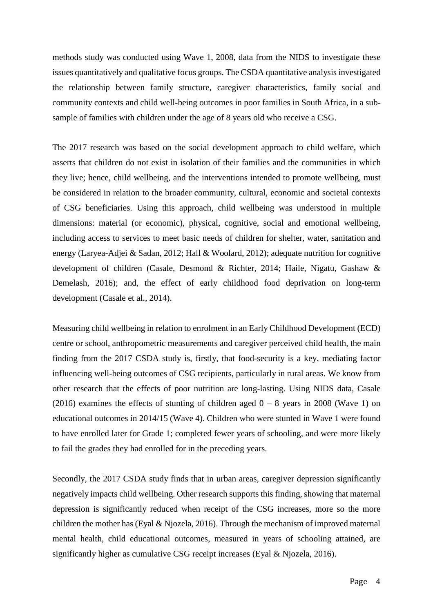methods study was conducted using Wave 1, 2008, data from the NIDS to investigate these issues quantitatively and qualitative focus groups. The CSDA quantitative analysis investigated the relationship between family structure, caregiver characteristics, family social and community contexts and child well-being outcomes in poor families in South Africa, in a subsample of families with children under the age of 8 years old who receive a CSG.

The 2017 research was based on the social development approach to child welfare, which asserts that children do not exist in isolation of their families and the communities in which they live; hence, child wellbeing, and the interventions intended to promote wellbeing, must be considered in relation to the broader community, cultural, economic and societal contexts of CSG beneficiaries. Using this approach, child wellbeing was understood in multiple dimensions: material (or economic), physical, cognitive, social and emotional wellbeing, including access to services to meet basic needs of children for shelter, water, sanitation and energy (Laryea-Adjei & Sadan, 2012; Hall & Woolard, 2012); adequate nutrition for cognitive development of children (Casale, Desmond & Richter, 2014; Haile, Nigatu, Gashaw & Demelash, 2016); and, the effect of early childhood food deprivation on long-term development (Casale et al., 2014).

Measuring child wellbeing in relation to enrolment in an Early Childhood Development (ECD) centre or school, anthropometric measurements and caregiver perceived child health, the main finding from the 2017 CSDA study is, firstly, that food-security is a key, mediating factor influencing well-being outcomes of CSG recipients, particularly in rural areas. We know from other research that the effects of poor nutrition are long-lasting. Using NIDS data, Casale (2016) examines the effects of stunting of children aged  $0 - 8$  years in 2008 (Wave 1) on educational outcomes in 2014/15 (Wave 4). Children who were stunted in Wave 1 were found to have enrolled later for Grade 1; completed fewer years of schooling, and were more likely to fail the grades they had enrolled for in the preceding years.

Secondly, the 2017 CSDA study finds that in urban areas, caregiver depression significantly negatively impacts child wellbeing. Other research supports this finding, showing that maternal depression is significantly reduced when receipt of the CSG increases, more so the more children the mother has (Eyal & Njozela, 2016). Through the mechanism of improved maternal mental health, child educational outcomes, measured in years of schooling attained, are significantly higher as cumulative CSG receipt increases (Eyal & Njozela, 2016).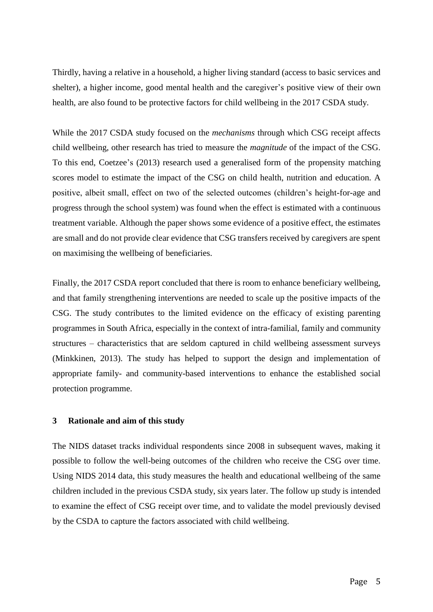Thirdly, having a relative in a household, a higher living standard (access to basic services and shelter), a higher income, good mental health and the caregiver's positive view of their own health, are also found to be protective factors for child wellbeing in the 2017 CSDA study.

While the 2017 CSDA study focused on the *mechanisms* through which CSG receipt affects child wellbeing, other research has tried to measure the *magnitude* of the impact of the CSG. To this end, Coetzee's (2013) research used a generalised form of the propensity matching scores model to estimate the impact of the CSG on child health, nutrition and education. A positive, albeit small, effect on two of the selected outcomes (children's height-for-age and progress through the school system) was found when the effect is estimated with a continuous treatment variable. Although the paper shows some evidence of a positive effect, the estimates are small and do not provide clear evidence that CSG transfers received by caregivers are spent on maximising the wellbeing of beneficiaries.

Finally, the 2017 CSDA report concluded that there is room to enhance beneficiary wellbeing, and that family strengthening interventions are needed to scale up the positive impacts of the CSG. The study contributes to the limited evidence on the efficacy of existing parenting programmes in South Africa, especially in the context of intra-familial, family and community structures – characteristics that are seldom captured in child wellbeing assessment surveys (Minkkinen, 2013). The study has helped to support the design and implementation of appropriate family- and community-based interventions to enhance the established social protection programme.

## <span id="page-4-0"></span>**3 Rationale and aim of this study**

The NIDS dataset tracks individual respondents since 2008 in subsequent waves, making it possible to follow the well-being outcomes of the children who receive the CSG over time. Using NIDS 2014 data, this study measures the health and educational wellbeing of the same children included in the previous CSDA study, six years later. The follow up study is intended to examine the effect of CSG receipt over time, and to validate the model previously devised by the CSDA to capture the factors associated with child wellbeing.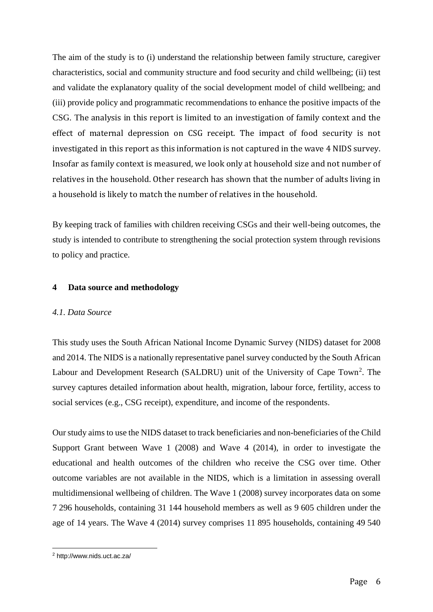The aim of the study is to (i) understand the relationship between family structure, caregiver characteristics, social and community structure and food security and child wellbeing; (ii) test and validate the explanatory quality of the social development model of child wellbeing; and (iii) provide policy and programmatic recommendations to enhance the positive impacts of the CSG. The analysis in this report is limited to an investigation of family context and the effect of maternal depression on CSG receipt. The impact of food security is not investigated in this report as this information is not captured in the wave 4 NIDS survey. Insofar as family context is measured, we look only at household size and not number of relatives in the household. Other research has shown that the number of adults living in a household is likely to match the number of relatives in the household.

By keeping track of families with children receiving CSGs and their well-being outcomes, the study is intended to contribute to strengthening the social protection system through revisions to policy and practice.

## <span id="page-5-0"></span>**4 Data source and methodology**

## *4.1. Data Source*

This study uses the South African National Income Dynamic Survey (NIDS) dataset for 2008 and 2014. The NIDS is a nationally representative panel survey conducted by the South African Labour and Development Research (SALDRU) unit of the University of Cape Town<sup>2</sup>. The survey captures detailed information about health, migration, labour force, fertility, access to social services (e.g., CSG receipt), expenditure, and income of the respondents.

Our study aims to use the NIDS dataset to track beneficiaries and non-beneficiaries of the Child Support Grant between Wave 1 (2008) and Wave 4 (2014), in order to investigate the educational and health outcomes of the children who receive the CSG over time. Other outcome variables are not available in the NIDS, which is a limitation in assessing overall multidimensional wellbeing of children. The Wave 1 (2008) survey incorporates data on some 7 296 households, containing 31 144 household members as well as 9 605 children under the age of 14 years. The Wave 4 (2014) survey comprises 11 895 households, containing 49 540

 $\overline{a}$ <sup>2</sup> http://www.nids.uct.ac.za/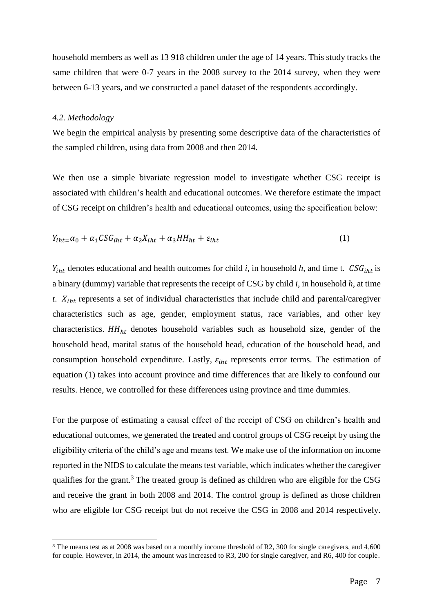household members as well as 13 918 children under the age of 14 years. This study tracks the same children that were 0-7 years in the 2008 survey to the 2014 survey, when they were between 6-13 years, and we constructed a panel dataset of the respondents accordingly.

#### *4.2. Methodology*

 $\overline{a}$ 

We begin the empirical analysis by presenting some descriptive data of the characteristics of the sampled children, using data from 2008 and then 2014.

We then use a simple bivariate regression model to investigate whether CSG receipt is associated with children's health and educational outcomes. We therefore estimate the impact of CSG receipt on children's health and educational outcomes, using the specification below:

$$
Y_{iht} = \alpha_0 + \alpha_1 C S G_{iht} + \alpha_2 X_{iht} + \alpha_3 HH_{ht} + \varepsilon_{iht}
$$
\n<sup>(1)</sup>

 $Y_{iht}$  denotes educational and health outcomes for child *i*, in household *h*, and time t.  $CSG_{iht}$  is a binary (dummy) variable that represents the receipt of CSG by child *i,* in household *h*, at time  $t$ .  $X_{int}$  represents a set of individual characteristics that include child and parental/caregiver characteristics such as age, gender, employment status, race variables, and other key characteristics.  $HH<sub>ht</sub>$  denotes household variables such as household size, gender of the household head, marital status of the household head, education of the household head, and consumption household expenditure. Lastly,  $\varepsilon_{iht}$  represents error terms. The estimation of equation (1) takes into account province and time differences that are likely to confound our results. Hence, we controlled for these differences using province and time dummies.

For the purpose of estimating a causal effect of the receipt of CSG on children's health and educational outcomes, we generated the treated and control groups of CSG receipt by using the eligibility criteria of the child's age and means test. We make use of the information on income reported in the NIDS to calculate the means test variable, which indicates whether the caregiver qualifies for the grant.<sup>3</sup> The treated group is defined as children who are eligible for the CSG and receive the grant in both 2008 and 2014. The control group is defined as those children who are eligible for CSG receipt but do not receive the CSG in 2008 and 2014 respectively.

<sup>&</sup>lt;sup>3</sup> The means test as at 2008 was based on a monthly income threshold of R2, 300 for single caregivers, and 4,600 for couple. However, in 2014, the amount was increased to R3, 200 for single caregiver, and R6, 400 for couple.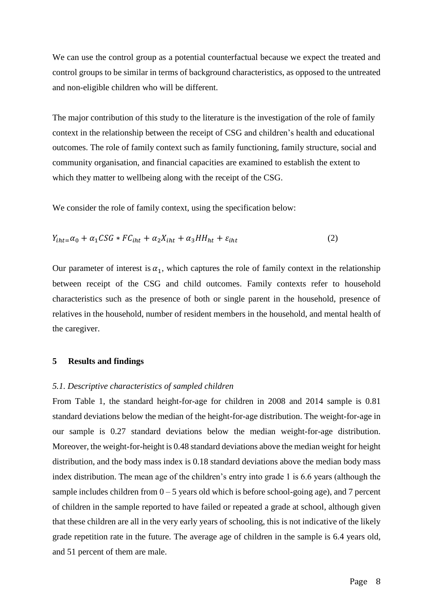We can use the control group as a potential counterfactual because we expect the treated and control groups to be similar in terms of background characteristics, as opposed to the untreated and non-eligible children who will be different.

The major contribution of this study to the literature is the investigation of the role of family context in the relationship between the receipt of CSG and children's health and educational outcomes. The role of family context such as family functioning, family structure, social and community organisation, and financial capacities are examined to establish the extent to which they matter to wellbeing along with the receipt of the CSG.

We consider the role of family context, using the specification below:

$$
Y_{iht} = \alpha_0 + \alpha_1 CSG * FC_{iht} + \alpha_2 X_{iht} + \alpha_3 HH_{ht} + \varepsilon_{iht}
$$
 (2)

Our parameter of interest is  $\alpha_1$ , which captures the role of family context in the relationship between receipt of the CSG and child outcomes. Family contexts refer to household characteristics such as the presence of both or single parent in the household, presence of relatives in the household, number of resident members in the household, and mental health of the caregiver.

## <span id="page-7-0"></span>**5 Results and findings**

#### *5.1. Descriptive characteristics of sampled children*

From Table 1, the standard height-for-age for children in 2008 and 2014 sample is 0.81 standard deviations below the median of the height-for-age distribution. The weight-for-age in our sample is 0.27 standard deviations below the median weight-for-age distribution. Moreover, the weight-for-height is 0.48 standard deviations above the median weight for height distribution, and the body mass index is 0.18 standard deviations above the median body mass index distribution. The mean age of the children's entry into grade 1 is 6.6 years (although the sample includes children from  $0 - 5$  years old which is before school-going age), and 7 percent of children in the sample reported to have failed or repeated a grade at school, although given that these children are all in the very early years of schooling, this is not indicative of the likely grade repetition rate in the future. The average age of children in the sample is 6.4 years old, and 51 percent of them are male.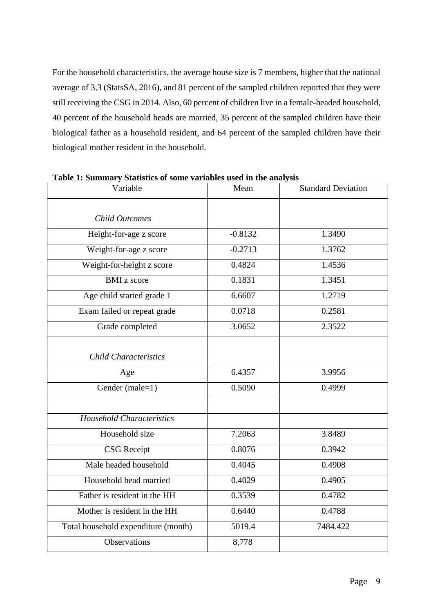For the household characteristics, the average house size is 7 members, higher that the national average of 3,3 (StatsSA, 2016), and 81 percent of the sampled children reported that they were still receiving the CSG in 2014. Also, 60 percent of children live in a female-headed household, 40 percent of the household heads are married, 35 percent of the sampled children have their biological father as a household resident, and 64 percent of the sampled children have their biological mother resident in the household.

| radic r. Summary Statistics of some variables used in the analysis<br>Variable | Mean      | <b>Standard Deviation</b> |
|--------------------------------------------------------------------------------|-----------|---------------------------|
|                                                                                |           |                           |
| <b>Child Outcomes</b>                                                          |           |                           |
| Height-for-age z score                                                         | $-0.8132$ | 1.3490                    |
| Weight-for-age z score                                                         | $-0.2713$ | 1.3762                    |
| Weight-for-height z score                                                      | 0.4824    | 1.4536                    |
| <b>BMI</b> z score                                                             | 0.1831    | 1.3451                    |
| Age child started grade 1                                                      | 6.6607    | 1.2719                    |
| Exam failed or repeat grade                                                    | 0.0718    | 0.2581                    |
| Grade completed                                                                | 3.0652    | 2.3522                    |
|                                                                                |           |                           |
| <b>Child Characteristics</b>                                                   |           |                           |
| Age                                                                            | 6.4357    | 3.9956                    |
| Gender (male=1)                                                                | 0.5090    | 0.4999                    |
|                                                                                |           |                           |
| <b>Household Characteristics</b>                                               |           |                           |
| Household size                                                                 | 7.2063    | 3.8489                    |
| <b>CSG</b> Receipt                                                             | 0.8076    | 0.3942                    |
| Male headed household                                                          | 0.4045    | 0.4908                    |
| Household head married                                                         | 0.4029    | 0.4905                    |
| Father is resident in the HH                                                   | 0.3539    | 0.4782                    |
| Mother is resident in the HH                                                   | 0.6440    | 0.4788                    |
| Total household expenditure (month)                                            | 5019.4    | 7484.422                  |
| Observations                                                                   | 8,778     |                           |
|                                                                                |           |                           |

<span id="page-8-0"></span>**Table 1: Summary Statistics of some variables used in the analysis**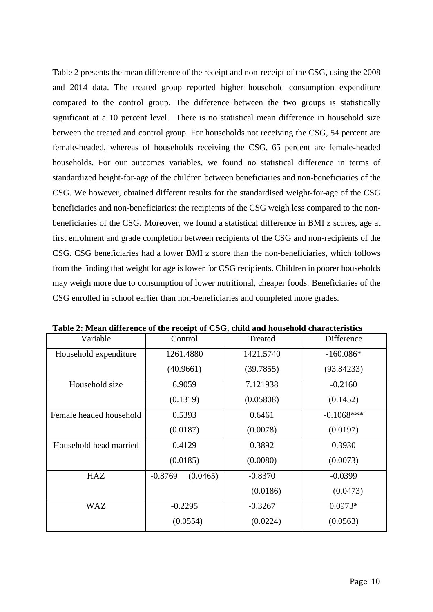Table 2 presents the mean difference of the receipt and non-receipt of the CSG, using the 2008 and 2014 data. The treated group reported higher household consumption expenditure compared to the control group. The difference between the two groups is statistically significant at a 10 percent level. There is no statistical mean difference in household size between the treated and control group. For households not receiving the CSG, 54 percent are female-headed, whereas of households receiving the CSG, 65 percent are female-headed households. For our outcomes variables, we found no statistical difference in terms of standardized height-for-age of the children between beneficiaries and non-beneficiaries of the CSG. We however, obtained different results for the standardised weight-for-age of the CSG beneficiaries and non-beneficiaries: the recipients of the CSG weigh less compared to the nonbeneficiaries of the CSG. Moreover, we found a statistical difference in BMI z scores, age at first enrolment and grade completion between recipients of the CSG and non-recipients of the CSG. CSG beneficiaries had a lower BMI z score than the non-beneficiaries, which follows from the finding that weight for age is lower for CSG recipients. Children in poorer households may weigh more due to consumption of lower nutritional, cheaper foods. Beneficiaries of the CSG enrolled in school earlier than non-beneficiaries and completed more grades.

| Variable                | Control               | Treated   | Difference    |
|-------------------------|-----------------------|-----------|---------------|
| Household expenditure   | 1261.4880             | 1421.5740 | $-160.086*$   |
|                         | (40.9661)             | (39.7855) | (93.84233)    |
| Household size          | 6.9059                | 7.121938  | $-0.2160$     |
|                         | (0.1319)              | (0.05808) | (0.1452)      |
| Female headed household | 0.5393                | 0.6461    | $-0.1068$ *** |
|                         | (0.0187)              | (0.0078)  | (0.0197)      |
| Household head married  | 0.4129                | 0.3892    | 0.3930        |
|                         | (0.0185)              | (0.0080)  | (0.0073)      |
| <b>HAZ</b>              | $-0.8769$<br>(0.0465) | $-0.8370$ | $-0.0399$     |
|                         |                       | (0.0186)  | (0.0473)      |
| <b>WAZ</b>              | $-0.2295$             | $-0.3267$ | $0.0973*$     |
|                         | (0.0554)              | (0.0224)  | (0.0563)      |

<span id="page-9-0"></span>**Table 2: Mean difference of the receipt of CSG, child and household characteristics**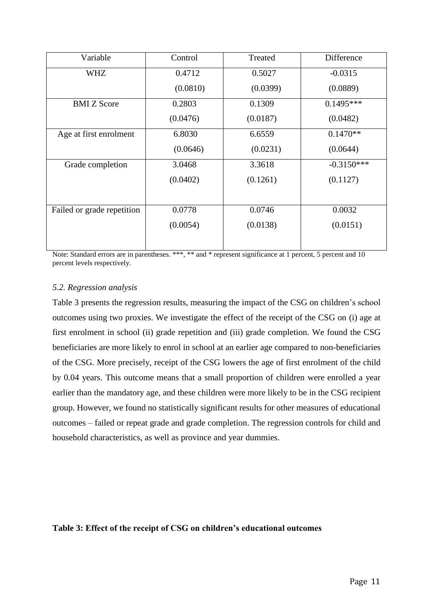| Variable                   | Control  | Treated  | Difference   |
|----------------------------|----------|----------|--------------|
| <b>WHZ</b>                 | 0.4712   | 0.5027   | $-0.0315$    |
|                            | (0.0810) | (0.0399) | (0.0889)     |
| <b>BMI</b> Z Score         | 0.2803   | 0.1309   | $0.1495***$  |
|                            | (0.0476) | (0.0187) | (0.0482)     |
| Age at first enrolment     | 6.8030   | 6.6559   | $0.1470**$   |
|                            | (0.0646) | (0.0231) | (0.0644)     |
| Grade completion           | 3.0468   | 3.3618   | $-0.3150***$ |
|                            | (0.0402) | (0.1261) | (0.1127)     |
|                            |          |          |              |
| Failed or grade repetition | 0.0778   | 0.0746   | 0.0032       |
|                            | (0.0054) | (0.0138) | (0.0151)     |
|                            |          |          |              |

Note: Standard errors are in parentheses. \*\*\*, \*\* and \* represent significance at 1 percent, 5 percent and 10 percent levels respectively.

## *5.2. Regression analysis*

Table 3 presents the regression results, measuring the impact of the CSG on children's school outcomes using two proxies. We investigate the effect of the receipt of the CSG on (i) age at first enrolment in school (ii) grade repetition and (iii) grade completion. We found the CSG beneficiaries are more likely to enrol in school at an earlier age compared to non-beneficiaries of the CSG. More precisely, receipt of the CSG lowers the age of first enrolment of the child by 0.04 years. This outcome means that a small proportion of children were enrolled a year earlier than the mandatory age, and these children were more likely to be in the CSG recipient group. However, we found no statistically significant results for other measures of educational outcomes – failed or repeat grade and grade completion. The regression controls for child and household characteristics, as well as province and year dummies.

## <span id="page-10-0"></span>**Table 3: Effect of the receipt of CSG on children's educational outcomes**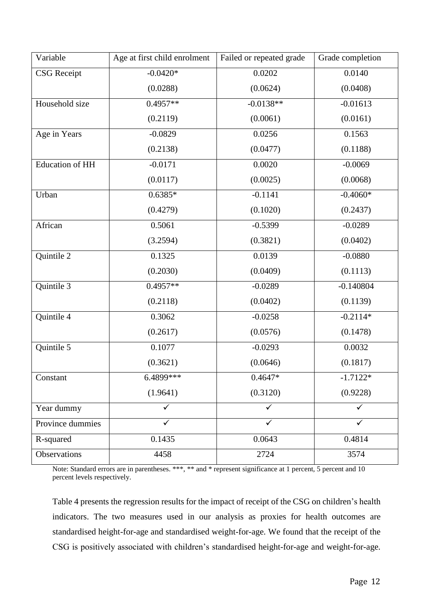| Variable               | Age at first child enrolment | Failed or repeated grade | Grade completion |
|------------------------|------------------------------|--------------------------|------------------|
| <b>CSG</b> Receipt     | $-0.0420*$                   | 0.0202                   | 0.0140           |
|                        | (0.0288)                     | (0.0624)                 | (0.0408)         |
| Household size         | $0.4957**$                   | $-0.0138**$              | $-0.01613$       |
|                        | (0.2119)                     | (0.0061)                 | (0.0161)         |
| Age in Years           | $-0.0829$                    | 0.0256                   | 0.1563           |
|                        | (0.2138)                     | (0.0477)                 | (0.1188)         |
| <b>Education of HH</b> | $-0.0171$                    | 0.0020                   | $-0.0069$        |
|                        | (0.0117)                     | (0.0025)                 | (0.0068)         |
| Urban                  | $0.6385*$                    | $-0.1141$                | $-0.4060*$       |
|                        | (0.4279)                     | (0.1020)                 | (0.2437)         |
| African                | 0.5061                       | $-0.5399$                | $-0.0289$        |
|                        | (3.2594)                     | (0.3821)                 | (0.0402)         |
| Quintile 2             | 0.1325                       | 0.0139                   | $-0.0880$        |
|                        | (0.2030)                     | (0.0409)                 | (0.1113)         |
| Quintile 3             | $0.4957**$                   | $-0.0289$                | $-0.140804$      |
|                        | (0.2118)                     | (0.0402)                 | (0.1139)         |
| Quintile 4             | 0.3062                       | $-0.0258$                | $-0.2114*$       |
|                        | (0.2617)                     | (0.0576)                 | (0.1478)         |
| Quintile 5             | 0.1077                       | $-0.0293$                | 0.0032           |
|                        | (0.3621)                     | (0.0646)                 | (0.1817)         |
| Constant               | 6.4899***                    | $0.4647*$                | $-1.7122*$       |
|                        | (1.9641)                     | (0.3120)                 | (0.9228)         |
| Year dummy             |                              | $\checkmark$             |                  |
| Province dummies       | ✓                            | $\checkmark$             |                  |
| R-squared              | 0.1435                       | 0.0643                   | 0.4814           |
| Observations           | 4458                         | 2724                     | 3574             |

Note: Standard errors are in parentheses. \*\*\*, \*\* and \* represent significance at 1 percent, 5 percent and 10 percent levels respectively.

Table 4 presents the regression results for the impact of receipt of the CSG on children's health indicators. The two measures used in our analysis as proxies for health outcomes are standardised height-for-age and standardised weight-for-age. We found that the receipt of the CSG is positively associated with children's standardised height-for-age and weight-for-age.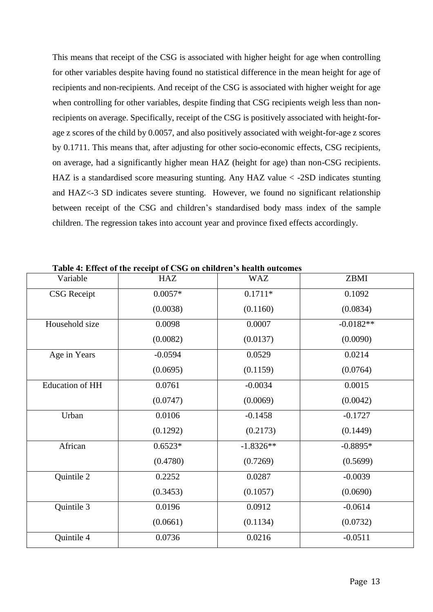This means that receipt of the CSG is associated with higher height for age when controlling for other variables despite having found no statistical difference in the mean height for age of recipients and non-recipients. And receipt of the CSG is associated with higher weight for age when controlling for other variables, despite finding that CSG recipients weigh less than nonrecipients on average. Specifically, receipt of the CSG is positively associated with height-forage z scores of the child by 0.0057, and also positively associated with weight-for-age z scores by 0.1711. This means that, after adjusting for other socio-economic effects, CSG recipients, on average, had a significantly higher mean HAZ (height for age) than non-CSG recipients. HAZ is a standardised score measuring stunting. Any HAZ value < -2SD indicates stunting and HAZ<-3 SD indicates severe stunting. However, we found no significant relationship between receipt of the CSG and children's standardised body mass index of the sample children. The regression takes into account year and province fixed effects accordingly.

| Variable               | HAZ       | <b>WAZ</b>  | ZBMI        |
|------------------------|-----------|-------------|-------------|
| <b>CSG</b> Receipt     | $0.0057*$ | $0.1711*$   | 0.1092      |
|                        | (0.0038)  | (0.1160)    | (0.0834)    |
| Household size         | 0.0098    | 0.0007      | $-0.0182**$ |
|                        | (0.0082)  | (0.0137)    | (0.0090)    |
| Age in Years           | $-0.0594$ | 0.0529      | 0.0214      |
|                        | (0.0695)  | (0.1159)    | (0.0764)    |
| <b>Education of HH</b> | 0.0761    | $-0.0034$   | 0.0015      |
|                        | (0.0747)  | (0.0069)    | (0.0042)    |
| Urban                  | 0.0106    | $-0.1458$   | $-0.1727$   |
|                        | (0.1292)  | (0.2173)    | (0.1449)    |
| African                | $0.6523*$ | $-1.8326**$ | $-0.8895*$  |
|                        | (0.4780)  | (0.7269)    | (0.5699)    |
| Quintile 2             | 0.2252    | 0.0287      | $-0.0039$   |
|                        | (0.3453)  | (0.1057)    | (0.0690)    |
| Quintile 3             | 0.0196    | 0.0912      | $-0.0614$   |
|                        | (0.0661)  | (0.1134)    | (0.0732)    |
| Quintile 4             | 0.0736    | 0.0216      | $-0.0511$   |

<span id="page-12-0"></span>**Table 4: Effect of the receipt of CSG on children's health outcomes**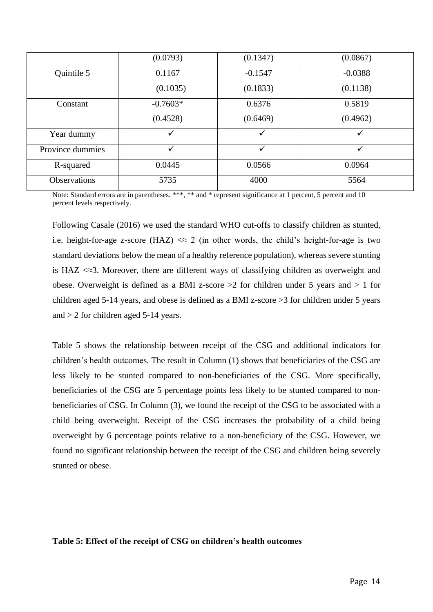|                     | (0.0793)   | (0.1347)  | (0.0867)     |
|---------------------|------------|-----------|--------------|
| Quintile 5          | 0.1167     | $-0.1547$ | $-0.0388$    |
|                     | (0.1035)   | (0.1833)  | (0.1138)     |
| Constant            | $-0.7603*$ | 0.6376    | 0.5819       |
|                     | (0.4528)   | (0.6469)  | (0.4962)     |
| Year dummy          | ✓          | ✓         | ✓            |
| Province dummies    | ✓          | ✓         | $\checkmark$ |
| R-squared           | 0.0445     | 0.0566    | 0.0964       |
| <b>Observations</b> | 5735       | 4000      | 5564         |

Note: Standard errors are in parentheses. \*\*\*, \*\* and \* represent significance at 1 percent, 5 percent and 10 percent levels respectively.

Following Casale (2016) we used the standard WHO cut-offs to classify children as stunted, i.e. height-for-age z-score (HAZ)  $\ll 2$  (in other words, the child's height-for-age is two standard deviations below the mean of a healthy reference population), whereas severe stunting is HAZ  $\ll 3$ . Moreover, there are different ways of classifying children as overweight and obese. Overweight is defined as a BMI z-score  $>2$  for children under 5 years and  $>1$  for children aged 5-14 years, and obese is defined as a BMI z-score >3 for children under 5 years and > 2 for children aged 5-14 years.

Table 5 shows the relationship between receipt of the CSG and additional indicators for children's health outcomes. The result in Column (1) shows that beneficiaries of the CSG are less likely to be stunted compared to non-beneficiaries of the CSG. More specifically, beneficiaries of the CSG are 5 percentage points less likely to be stunted compared to nonbeneficiaries of CSG. In Column (3), we found the receipt of the CSG to be associated with a child being overweight. Receipt of the CSG increases the probability of a child being overweight by 6 percentage points relative to a non-beneficiary of the CSG. However, we found no significant relationship between the receipt of the CSG and children being severely stunted or obese.

## <span id="page-13-0"></span>**Table 5: Effect of the receipt of CSG on children's health outcomes**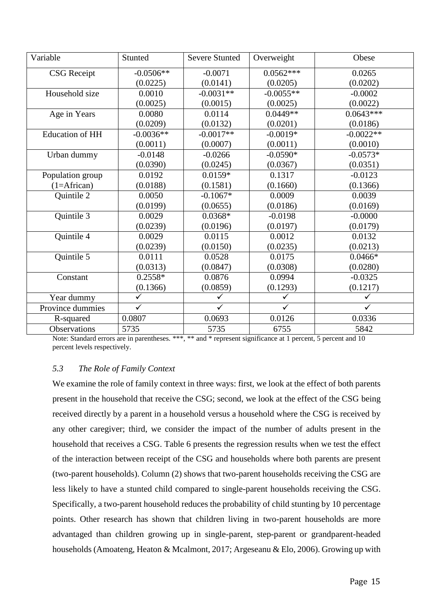| Variable               | Stunted      | <b>Severe Stunted</b> | Overweight   | Obese        |
|------------------------|--------------|-----------------------|--------------|--------------|
| <b>CSG</b> Receipt     | $-0.0506**$  | $-0.0071$             | $0.0562***$  | 0.0265       |
|                        | (0.0225)     | (0.0141)              | (0.0205)     | (0.0202)     |
| Household size         | 0.0010       | $-0.0031**$           | $-0.0055**$  | $-0.0002$    |
|                        | (0.0025)     | (0.0015)              | (0.0025)     | (0.0022)     |
| Age in Years           | 0.0080       | 0.0114                | $0.0449**$   | $0.0643***$  |
|                        | (0.0209)     | (0.0132)              | (0.0201)     | (0.0186)     |
| <b>Education of HH</b> | $-0.0036**$  | $-0.0017**$           | $-0.0019*$   | $-0.0022**$  |
|                        | (0.0011)     | (0.0007)              | (0.0011)     | (0.0010)     |
| Urban dummy            | $-0.0148$    | $-0.0266$             | $-0.0590*$   | $-0.0573*$   |
|                        | (0.0390)     | (0.0245)              | (0.0367)     | (0.0351)     |
| Population group       | 0.0192       | $0.0159*$             | 0.1317       | $-0.0123$    |
| $(1=Afterian)$         | (0.0188)     | (0.1581)              | (0.1660)     | (0.1366)     |
| Quintile 2             | 0.0050       | $-0.1067*$            | 0.0009       | 0.0039       |
|                        | (0.0199)     | (0.0655)              | (0.0186)     | (0.0169)     |
| Quintile 3             | 0.0029       | $0.0368*$             | $-0.0198$    | $-0.0000$    |
|                        | (0.0239)     | (0.0196)              | (0.0197)     | (0.0179)     |
| Quintile 4             | 0.0029       | 0.0115                | 0.0012       | 0.0132       |
|                        | (0.0239)     | (0.0150)              | (0.0235)     | (0.0213)     |
| Quintile 5             | 0.0111       | 0.0528                | 0.0175       | $0.0466*$    |
|                        | (0.0313)     | (0.0847)              | (0.0308)     | (0.0280)     |
| Constant               | $0.2558*$    | 0.0876                | 0.0994       | $-0.0325$    |
|                        | (0.1366)     | (0.0859)              | (0.1293)     | (0.1217)     |
| Year dummy             | $\checkmark$ | ✓                     | $\checkmark$ | $\checkmark$ |
| Province dummies       | $\checkmark$ | $\checkmark$          | $\checkmark$ | $\checkmark$ |
| R-squared              | 0.0807       | 0.0693                | 0.0126       | 0.0336       |
| <b>Observations</b>    | 5735         | 5735                  | 6755         | 5842         |

Note: Standard errors are in parentheses. \*\*\*, \*\* and \* represent significance at 1 percent, 5 percent and 10 percent levels respectively.

## *5.3 The Role of Family Context*

We examine the role of family context in three ways: first, we look at the effect of both parents present in the household that receive the CSG; second, we look at the effect of the CSG being received directly by a parent in a household versus a household where the CSG is received by any other caregiver; third, we consider the impact of the number of adults present in the household that receives a CSG. Table 6 presents the regression results when we test the effect of the interaction between receipt of the CSG and households where both parents are present (two-parent households). Column (2) shows that two-parent households receiving the CSG are less likely to have a stunted child compared to single-parent households receiving the CSG. Specifically, a two-parent household reduces the probability of child stunting by 10 percentage points. Other research has shown that children living in two-parent households are more advantaged than children growing up in single-parent, step-parent or grandparent-headed households (Amoateng, Heaton & Mcalmont, 2017; Argeseanu & Elo, 2006). Growing up with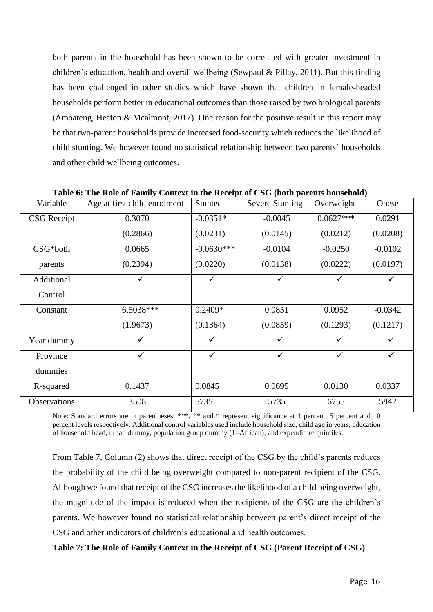both parents in the household has been shown to be correlated with greater investment in children's education, health and overall wellbeing (Sewpaul & Pillay, 2011). But this finding has been challenged in other studies which have shown that children in female-headed households perform better in educational outcomes than those raised by two biological parents (Amoateng, Heaton & Mcalmont, 2017). One reason for the positive result in this report may be that two-parent households provide increased food-security which reduces the likelihood of child stunting. We however found no statistical relationship between two parents' households and other child wellbeing outcomes.

| Variable           | Age at first child enrolment | Stunted      | <b>Severe Stunting</b> | Overweight   | Obese        |
|--------------------|------------------------------|--------------|------------------------|--------------|--------------|
| <b>CSG</b> Receipt | 0.3070                       | $-0.0351*$   | $-0.0045$              | $0.0627***$  | 0.0291       |
|                    | (0.2866)                     | (0.0231)     | (0.0145)               | (0.0212)     | (0.0208)     |
| CSG*both           | 0.0665                       | $-0.0630***$ | $-0.0104$              | $-0.0250$    | $-0.0102$    |
| parents            | (0.2394)                     | (0.0220)     | (0.0138)               | (0.0222)     | (0.0197)     |
| Additional         |                              | ✓            |                        | ✓            |              |
| Control            |                              |              |                        |              |              |
| Constant           | 6.5038***                    | $0.2409*$    | 0.0851                 | 0.0952       | $-0.0342$    |
|                    | (1.9673)                     | (0.1364)     | (0.0859)               | (0.1293)     | (0.1217)     |
| Year dummy         |                              | $\checkmark$ |                        | ✓            |              |
| Province           | $\checkmark$                 | $\checkmark$ | $\checkmark$           | $\checkmark$ | $\checkmark$ |
| dummies            |                              |              |                        |              |              |
| R-squared          | 0.1437                       | 0.0845       | 0.0695                 | 0.0130       | 0.0337       |
| Observations       | 3508                         | 5735         | 5735                   | 6755         | 5842         |

<span id="page-15-0"></span>**Table 6: The Role of Family Context in the Receipt of CSG (both parents household)**

Note: Standard errors are in parentheses. \*\*\*, \*\* and \* represent significance at 1 percent, 5 percent and 10 percent levels respectively. Additional control variables used include household size, child age in years, education of household head, urban dummy, population group dummy (1=African), and expenditure quintiles.

From Table 7, Column (2) shows that direct receipt of the CSG by the child's parents reduces the probability of the child being overweight compared to non-parent recipient of the CSG. Although we found that receipt of the CSG increases the likelihood of a child being overweight, the magnitude of the impact is reduced when the recipients of the CSG are the children's parents. We however found no statistical relationship between parent's direct receipt of the CSG and other indicators of children's educational and health outcomes.

# <span id="page-15-1"></span>**Table 7: The Role of Family Context in the Receipt of CSG (Parent Receipt of CSG)**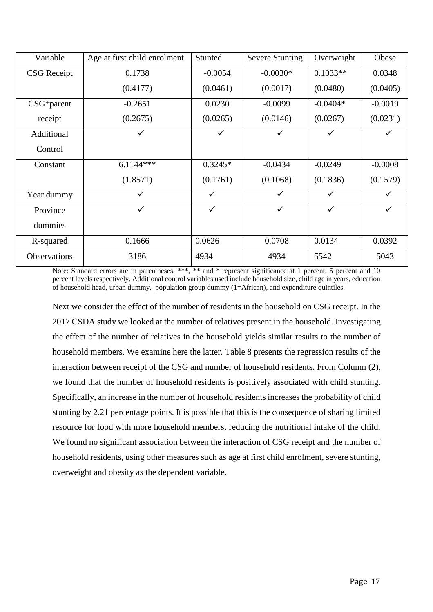| Variable            | Age at first child enrolment | Stunted      | <b>Severe Stunting</b> | Overweight   | Obese     |
|---------------------|------------------------------|--------------|------------------------|--------------|-----------|
| <b>CSG</b> Receipt  | 0.1738                       | $-0.0054$    | $-0.0030*$             | $0.1033**$   | 0.0348    |
|                     | (0.4177)                     | (0.0461)     | (0.0017)               | (0.0480)     | (0.0405)  |
| $CSG*parent$        | $-0.2651$                    | 0.0230       | $-0.0099$              | $-0.0404*$   | $-0.0019$ |
| receipt             | (0.2675)                     | (0.0265)     | (0.0146)               | (0.0267)     | (0.0231)  |
| Additional          |                              |              | ✓                      |              |           |
| Control             |                              |              |                        |              |           |
| Constant            | $6.1144***$                  | $0.3245*$    | $-0.0434$              | $-0.0249$    | $-0.0008$ |
|                     | (1.8571)                     | (0.1761)     | (0.1068)               | (0.1836)     | (0.1579)  |
| Year dummy          | ✓                            | ✓            | ✓                      | ✓            |           |
| Province            | $\checkmark$                 | $\checkmark$ | ✓                      | $\checkmark$ |           |
| dummies             |                              |              |                        |              |           |
| R-squared           | 0.1666                       | 0.0626       | 0.0708                 | 0.0134       | 0.0392    |
| <b>Observations</b> | 3186                         | 4934         | 4934                   | 5542         | 5043      |

Note: Standard errors are in parentheses. \*\*\*, \*\* and \* represent significance at 1 percent, 5 percent and 10 percent levels respectively. Additional control variables used include household size, child age in years, education of household head, urban dummy, population group dummy (1=African), and expenditure quintiles.

Next we consider the effect of the number of residents in the household on CSG receipt. In the 2017 CSDA study we looked at the number of relatives present in the household. Investigating the effect of the number of relatives in the household yields similar results to the number of household members. We examine here the latter. Table 8 presents the regression results of the interaction between receipt of the CSG and number of household residents. From Column (2), we found that the number of household residents is positively associated with child stunting. Specifically, an increase in the number of household residents increases the probability of child stunting by 2.21 percentage points. It is possible that this is the consequence of sharing limited resource for food with more household members, reducing the nutritional intake of the child. We found no significant association between the interaction of CSG receipt and the number of household residents, using other measures such as age at first child enrolment, severe stunting, overweight and obesity as the dependent variable.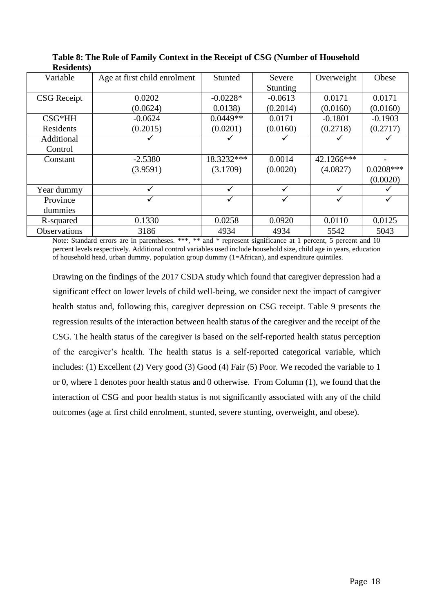| Variable           | Age at first child enrolment | Stunted    | Severe    | Overweight | Obese       |
|--------------------|------------------------------|------------|-----------|------------|-------------|
|                    |                              |            | Stunting  |            |             |
| <b>CSG</b> Receipt | 0.0202                       | $-0.0228*$ | $-0.0613$ | 0.0171     | 0.0171      |
|                    | (0.0624)                     | 0.0138     | (0.2014)  | (0.0160)   | (0.0160)    |
| $CSG*HH$           | $-0.0624$                    | $0.0449**$ | 0.0171    | $-0.1801$  | $-0.1903$   |
| Residents          | (0.2015)                     | (0.0201)   | (0.0160)  | (0.2718)   | (0.2717)    |
| Additional         |                              |            |           |            |             |
| Control            |                              |            |           |            |             |
| Constant           | $-2.5380$                    | 18.3232*** | 0.0014    | 42.1266*** |             |
|                    | (3.9591)                     | (3.1709)   | (0.0020)  | (4.0827)   | $0.0208***$ |
|                    |                              |            |           |            | (0.0020)    |
| Year dummy         |                              |            |           |            |             |
| Province           |                              |            | ✓         |            |             |
| dummies            |                              |            |           |            |             |
| R-squared          | 0.1330                       | 0.0258     | 0.0920    | 0.0110     | 0.0125      |
| Observations       | 3186                         | 4934       | 4934      | 5542       | 5043        |

<span id="page-17-0"></span>**Table 8: The Role of Family Context in the Receipt of CSG (Number of Household Residents)**

Note: Standard errors are in parentheses. \*\*\*, \*\* and \* represent significance at 1 percent, 5 percent and 10 percent levels respectively. Additional control variables used include household size, child age in years, education of household head, urban dummy, population group dummy (1=African), and expenditure quintiles.

Drawing on the findings of the 2017 CSDA study which found that caregiver depression had a significant effect on lower levels of child well-being, we consider next the impact of caregiver health status and, following this, caregiver depression on CSG receipt. Table 9 presents the regression results of the interaction between health status of the caregiver and the receipt of the CSG. The health status of the caregiver is based on the self-reported health status perception of the caregiver's health. The health status is a self-reported categorical variable, which includes: (1) Excellent (2) Very good (3) Good (4) Fair (5) Poor. We recoded the variable to 1 or 0, where 1 denotes poor health status and 0 otherwise. From Column (1), we found that the interaction of CSG and poor health status is not significantly associated with any of the child outcomes (age at first child enrolment, stunted, severe stunting, overweight, and obese).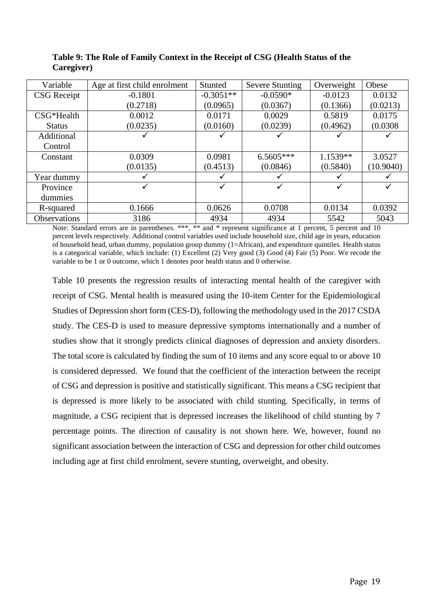| Variable            | Age at first child enrolment | Stunted     | <b>Severe Stunting</b> | Overweight | Obese     |
|---------------------|------------------------------|-------------|------------------------|------------|-----------|
| <b>CSG</b> Receipt  | $-0.1801$                    | $-0.3051**$ | $-0.0590*$             | $-0.0123$  | 0.0132    |
|                     | (0.2718)                     | (0.0965)    | (0.0367)               | (0.1366)   | (0.0213)  |
| $CSG*Health$        | 0.0012                       | 0.0171      | 0.0029                 | 0.5819     | 0.0175    |
| <b>Status</b>       | (0.0235)                     | (0.0160)    | (0.0239)               | (0.4962)   | (0.0308)  |
| Additional          |                              |             |                        |            |           |
| Control             |                              |             |                        |            |           |
| Constant            | 0.0309                       | 0.0981      | 6.5605***              | 1.1539**   | 3.0527    |
|                     | (0.0135)                     | (0.4513)    | (0.0846)               | (0.5840)   | (10.9040) |
| Year dummy          |                              |             |                        |            |           |
| Province            |                              | ✓           |                        |            |           |
| dummies             |                              |             |                        |            |           |
| R-squared           | 0.1666                       | 0.0626      | 0.0708                 | 0.0134     | 0.0392    |
| <b>Observations</b> | 3186                         | 4934        | 4934                   | 5542       | 5043      |

<span id="page-18-0"></span>**Table 9: The Role of Family Context in the Receipt of CSG (Health Status of the Caregiver)**

Note: Standard errors are in parentheses. \*\*\*, \*\* and \* represent significance at 1 percent, 5 percent and 10 percent levels respectively. Additional control variables used include household size, child age in years, education of household head, urban dummy, population group dummy (1=African), and expenditure quintiles. Health status is a categorical variable, which include: (1) Excellent (2) Very good (3) Good (4) Fair (5) Poor. We recode the variable to be 1 or 0 outcome, which 1 denotes poor health status and 0 otherwise.

Table 10 presents the regression results of interacting mental health of the caregiver with receipt of CSG. Mental health is measured using the 10-item Center for the Epidemiological Studies of Depression short form (CES-D), following the methodology used in the 2017 CSDA study. The CES-D is used to measure depressive symptoms internationally and a number of studies show that it strongly predicts clinical diagnoses of depression and anxiety disorders. The total score is calculated by finding the sum of 10 items and any score equal to or above 10 is considered depressed. We found that the coefficient of the interaction between the receipt of CSG and depression is positive and statistically significant. This means a CSG recipient that is depressed is more likely to be associated with child stunting. Specifically, in terms of magnitude, a CSG recipient that is depressed increases the likelihood of child stunting by 7 percentage points. The direction of causality is not shown here. We, however, found no significant association between the interaction of CSG and depression for other child outcomes including age at first child enrolment, severe stunting, overweight, and obesity.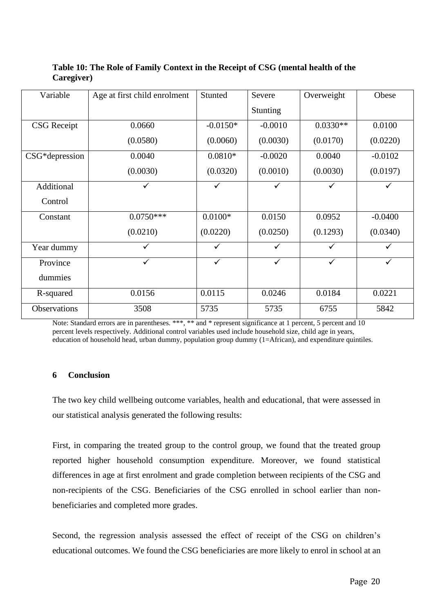| Variable            | Age at first child enrolment | Stunted    | Severe       | Overweight | Obese        |
|---------------------|------------------------------|------------|--------------|------------|--------------|
|                     |                              |            | Stunting     |            |              |
| <b>CSG</b> Receipt  | 0.0660                       | $-0.0150*$ | $-0.0010$    | $0.0330**$ | 0.0100       |
|                     | (0.0580)                     | (0.0060)   | (0.0030)     | (0.0170)   | (0.0220)     |
| CSG*depression      | 0.0040                       | $0.0810*$  | $-0.0020$    | 0.0040     | $-0.0102$    |
|                     | (0.0030)                     | (0.0320)   | (0.0010)     | (0.0030)   | (0.0197)     |
| Additional          | ✓                            | ✓          | $\checkmark$ | ✓          | $\checkmark$ |
| Control             |                              |            |              |            |              |
| Constant            | $0.0750***$                  | $0.0100*$  | 0.0150       | 0.0952     | $-0.0400$    |
|                     | (0.0210)                     | (0.0220)   | (0.0250)     | (0.1293)   | (0.0340)     |
| Year dummy          | ✓                            | ✓          | $\checkmark$ | ✓          | $\checkmark$ |
| Province            | ✓                            | ✓          | $\checkmark$ | ✓          | $\checkmark$ |
| dummies             |                              |            |              |            |              |
| R-squared           | 0.0156                       | 0.0115     | 0.0246       | 0.0184     | 0.0221       |
| <b>Observations</b> | 3508                         | 5735       | 5735         | 6755       | 5842         |

# <span id="page-19-1"></span>**Table 10: The Role of Family Context in the Receipt of CSG (mental health of the Caregiver)**

Note: Standard errors are in parentheses. \*\*\*, \*\* and \* represent significance at 1 percent, 5 percent and 10 percent levels respectively. Additional control variables used include household size, child age in years, education of household head, urban dummy, population group dummy (1=African), and expenditure quintiles.

# <span id="page-19-0"></span>**6 Conclusion**

The two key child wellbeing outcome variables, health and educational, that were assessed in our statistical analysis generated the following results:

First, in comparing the treated group to the control group, we found that the treated group reported higher household consumption expenditure. Moreover, we found statistical differences in age at first enrolment and grade completion between recipients of the CSG and non-recipients of the CSG. Beneficiaries of the CSG enrolled in school earlier than nonbeneficiaries and completed more grades.

Second, the regression analysis assessed the effect of receipt of the CSG on children's educational outcomes. We found the CSG beneficiaries are more likely to enrol in school at an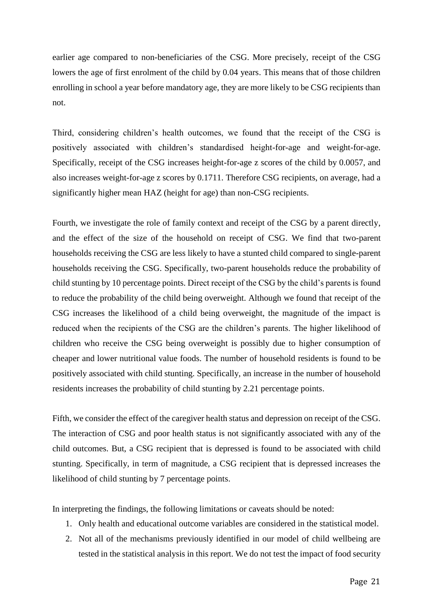earlier age compared to non-beneficiaries of the CSG. More precisely, receipt of the CSG lowers the age of first enrolment of the child by 0.04 years. This means that of those children enrolling in school a year before mandatory age, they are more likely to be CSG recipients than not.

Third, considering children's health outcomes, we found that the receipt of the CSG is positively associated with children's standardised height-for-age and weight-for-age. Specifically, receipt of the CSG increases height-for-age z scores of the child by 0.0057, and also increases weight-for-age z scores by 0.1711. Therefore CSG recipients, on average, had a significantly higher mean HAZ (height for age) than non-CSG recipients.

Fourth, we investigate the role of family context and receipt of the CSG by a parent directly, and the effect of the size of the household on receipt of CSG. We find that two-parent households receiving the CSG are less likely to have a stunted child compared to single-parent households receiving the CSG. Specifically, two-parent households reduce the probability of child stunting by 10 percentage points. Direct receipt of the CSG by the child's parents is found to reduce the probability of the child being overweight. Although we found that receipt of the CSG increases the likelihood of a child being overweight, the magnitude of the impact is reduced when the recipients of the CSG are the children's parents. The higher likelihood of children who receive the CSG being overweight is possibly due to higher consumption of cheaper and lower nutritional value foods. The number of household residents is found to be positively associated with child stunting. Specifically, an increase in the number of household residents increases the probability of child stunting by 2.21 percentage points.

Fifth, we consider the effect of the caregiver health status and depression on receipt of the CSG. The interaction of CSG and poor health status is not significantly associated with any of the child outcomes. But, a CSG recipient that is depressed is found to be associated with child stunting. Specifically, in term of magnitude, a CSG recipient that is depressed increases the likelihood of child stunting by 7 percentage points.

In interpreting the findings, the following limitations or caveats should be noted:

- 1. Only health and educational outcome variables are considered in the statistical model.
- 2. Not all of the mechanisms previously identified in our model of child wellbeing are tested in the statistical analysis in this report. We do not test the impact of food security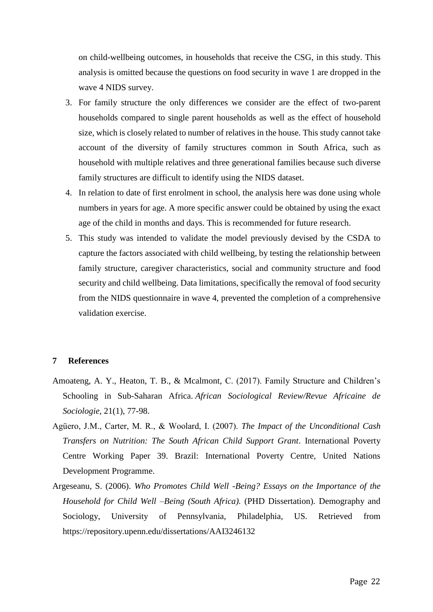on child-wellbeing outcomes, in households that receive the CSG, in this study. This analysis is omitted because the questions on food security in wave 1 are dropped in the wave 4 NIDS survey.

- 3. For family structure the only differences we consider are the effect of two-parent households compared to single parent households as well as the effect of household size, which is closely related to number of relatives in the house. This study cannot take account of the diversity of family structures common in South Africa, such as household with multiple relatives and three generational families because such diverse family structures are difficult to identify using the NIDS dataset.
- 4. In relation to date of first enrolment in school, the analysis here was done using whole numbers in years for age. A more specific answer could be obtained by using the exact age of the child in months and days. This is recommended for future research.
- 5. This study was intended to validate the model previously devised by the CSDA to capture the factors associated with child wellbeing, by testing the relationship between family structure, caregiver characteristics, social and community structure and food security and child wellbeing. Data limitations, specifically the removal of food security from the NIDS questionnaire in wave 4, prevented the completion of a comprehensive validation exercise.

## <span id="page-21-0"></span>**7 References**

- Amoateng, A. Y., Heaton, T. B., & Mcalmont, C. (2017). Family Structure and Children's Schooling in Sub-Saharan Africa. *African Sociological Review/Revue Africaine de Sociologie*, 21(1), 77-98.
- Agüero, J.M., Carter, M. R., & Woolard, I. (2007). *The Impact of the Unconditional Cash Transfers on Nutrition: The South African Child Support Grant*. International Poverty Centre Working Paper 39. Brazil: International Poverty Centre, United Nations Development Programme.
- Argeseanu, S. (2006). *Who Promotes Child Well -Being? Essays on the Importance of the Household for Child Well –Being (South Africa).* (PHD Dissertation). Demography and Sociology, University of Pennsylvania, Philadelphia, US. Retrieved from https://repository.upenn.edu/dissertations/AAI3246132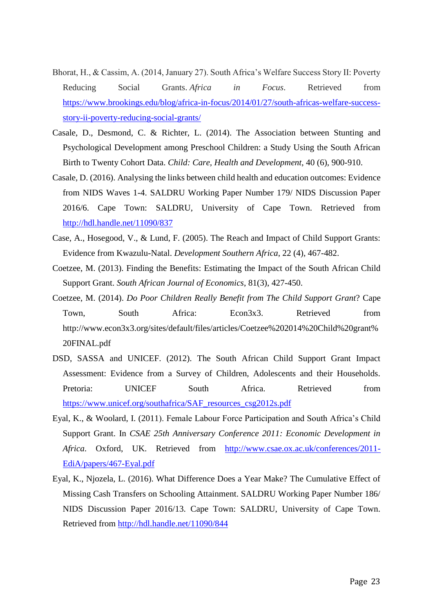- Bhorat, H., & Cassim, A. (2014, January 27). South Africa's Welfare Success Story II: Poverty Reducing Social Grants. *Africa in Focus*. Retrieved from [https://www.brookings.edu/blog/africa-in-focus/2014/01/27/south-africas-welfare-success](https://www.brookings.edu/blog/africa-in-focus/2014/01/27/south-africas-welfare-success-story-ii-poverty-reducing-social-grants/)[story-ii-poverty-reducing-social-grants/](https://www.brookings.edu/blog/africa-in-focus/2014/01/27/south-africas-welfare-success-story-ii-poverty-reducing-social-grants/)
- Casale, D., Desmond, C. & Richter, L. (2014). The Association between Stunting and Psychological Development among Preschool Children: a Study Using the South African Birth to Twenty Cohort Data. *Child: Care, Health and Development*, 40 (6), 900-910.
- Casale, D. (2016). Analysing the links between child health and education outcomes: Evidence from NIDS Waves 1-4. SALDRU Working Paper Number 179/ NIDS Discussion Paper 2016/6. Cape Town: SALDRU, University of Cape Town. Retrieved from <http://hdl.handle.net/11090/837>
- Case, A., Hosegood, V., & Lund, F. (2005). The Reach and Impact of Child Support Grants: Evidence from Kwazulu-Natal. *Development Southern Africa*, 22 (4), 467-482.
- Coetzee, M. (2013). Finding the Benefits: Estimating the Impact of the South African Child Support Grant. *South African Journal of Economics*, 81(3), 427-450.
- Coetzee, M. (2014). *Do Poor Children Really Benefit from The Child Support Grant*? Cape Town, South Africa: Econ3x3. Retrieved from http://www.econ3x3.org/sites/default/files/articles/Coetzee%202014%20Child%20grant% 20FINAL.pdf
- DSD, SASSA and UNICEF. (2012). The South African Child Support Grant Impact Assessment: Evidence from a Survey of Children, Adolescents and their Households. Pretoria: UNICEF South Africa. Retrieved from [https://www.unicef.org/southafrica/SAF\\_resources\\_csg2012s.pdf](https://www.unicef.org/southafrica/SAF_resources_csg2012s.pdf)
- Eyal, K., & Woolard, I. (2011). Female Labour Force Participation and South Africa's Child Support Grant. In *CSAE 25th Anniversary Conference 2011: Economic Development in Africa*. Oxford, UK. Retrieved from [http://www.csae.ox.ac.uk/conferences/2011-](http://www.csae.ox.ac.uk/conferences/2011-EdiA/papers/467-Eyal.pdf) [EdiA/papers/467-Eyal.pdf](http://www.csae.ox.ac.uk/conferences/2011-EdiA/papers/467-Eyal.pdf)
- Eyal, K., Njozela, L. (2016). What Difference Does a Year Make? The Cumulative Effect of Missing Cash Transfers on Schooling Attainment. SALDRU Working Paper Number 186/ NIDS Discussion Paper 2016/13. Cape Town: SALDRU, University of Cape Town. Retrieved from<http://hdl.handle.net/11090/844>